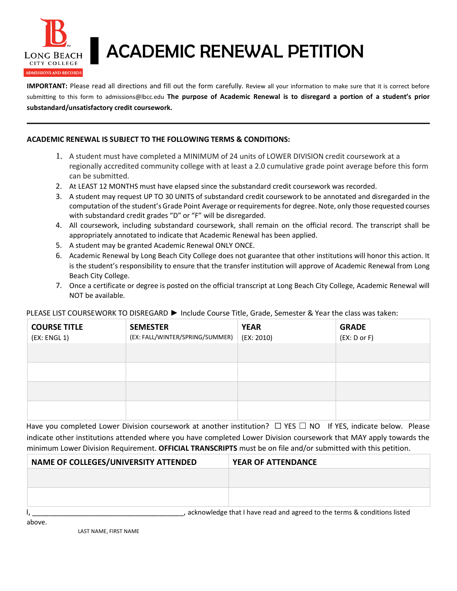

## LONG BEACH ACADEMIC RENEWAL PETITION

**IMPORTANT:** Please read all directions and fill out the form carefully. Review all your information to make sure that it is correct before submitting to this form to admissions@lbcc.edu **The purpose of Academic Renewal is to disregard a portion of a student's prior substandard/unsatisfactory credit coursework.**

## **ACADEMIC RENEWAL IS SUBJECT TO THE FOLLOWING TERMS & CONDITIONS:**

- 1. A student must have completed a MINIMUM of 24 units of LOWER DIVISION credit coursework at a regionally accredited community college with at least a 2.0 cumulative grade point average before this form can be submitted.
- 2. At LEAST 12 MONTHS must have elapsed since the substandard credit coursework was recorded.
- 3. A student may request UP TO 30 UNITS of substandard credit coursework to be annotated and disregarded in the computation of the student's Grade Point Average or requirements for degree. Note, only those requested courses with substandard credit grades "D" or "F" will be disregarded.
- 4. All coursework, including substandard coursework, shall remain on the official record. The transcript shall be appropriately annotated to indicate that Academic Renewal has been applied.
- 5. A student may be granted Academic Renewal ONLY ONCE.
- 6. Academic Renewal by Long Beach City College does not guarantee that other institutions will honor this action. It is the student's responsibility to ensure that the transfer institution will approve of Academic Renewal from Long Beach City College.
- 7. Once a certificate or degree is posted on the official transcript at Long Beach City College, Academic Renewal will NOT be available.

## PLEASE LIST COURSEWORK TO DISREGARD ► Include Course Title, Grade, Semester & Year the class was taken:

| <b>COURSE TITLE</b><br>(EX: ENGL 1) | <b>SEMESTER</b><br>(EX: FALL/WINTER/SPRING/SUMMER) | <b>YEAR</b><br>(EX: 2010) | <b>GRADE</b><br>(EX: D or F) |
|-------------------------------------|----------------------------------------------------|---------------------------|------------------------------|
|                                     |                                                    |                           |                              |
|                                     |                                                    |                           |                              |
|                                     |                                                    |                           |                              |
|                                     |                                                    |                           |                              |

Have you completed Lower Division coursework at another institution? □ YES □ NO If YES, indicate below. Please indicate other institutions attended where you have completed Lower Division coursework that MAY apply towards the minimum Lower Division Requirement. **OFFICIAL TRANSCRIPTS** must be on file and/or submitted with this petition.

| NAME OF COLLEGES/UNIVERSITY ATTENDED | <b>YEAR OF ATTENDANCE</b>                                                |  |  |
|--------------------------------------|--------------------------------------------------------------------------|--|--|
|                                      |                                                                          |  |  |
|                                      |                                                                          |  |  |
|                                      |                                                                          |  |  |
|                                      | acknowledge that I have read and agreed to the terms & conditions listed |  |  |

above.